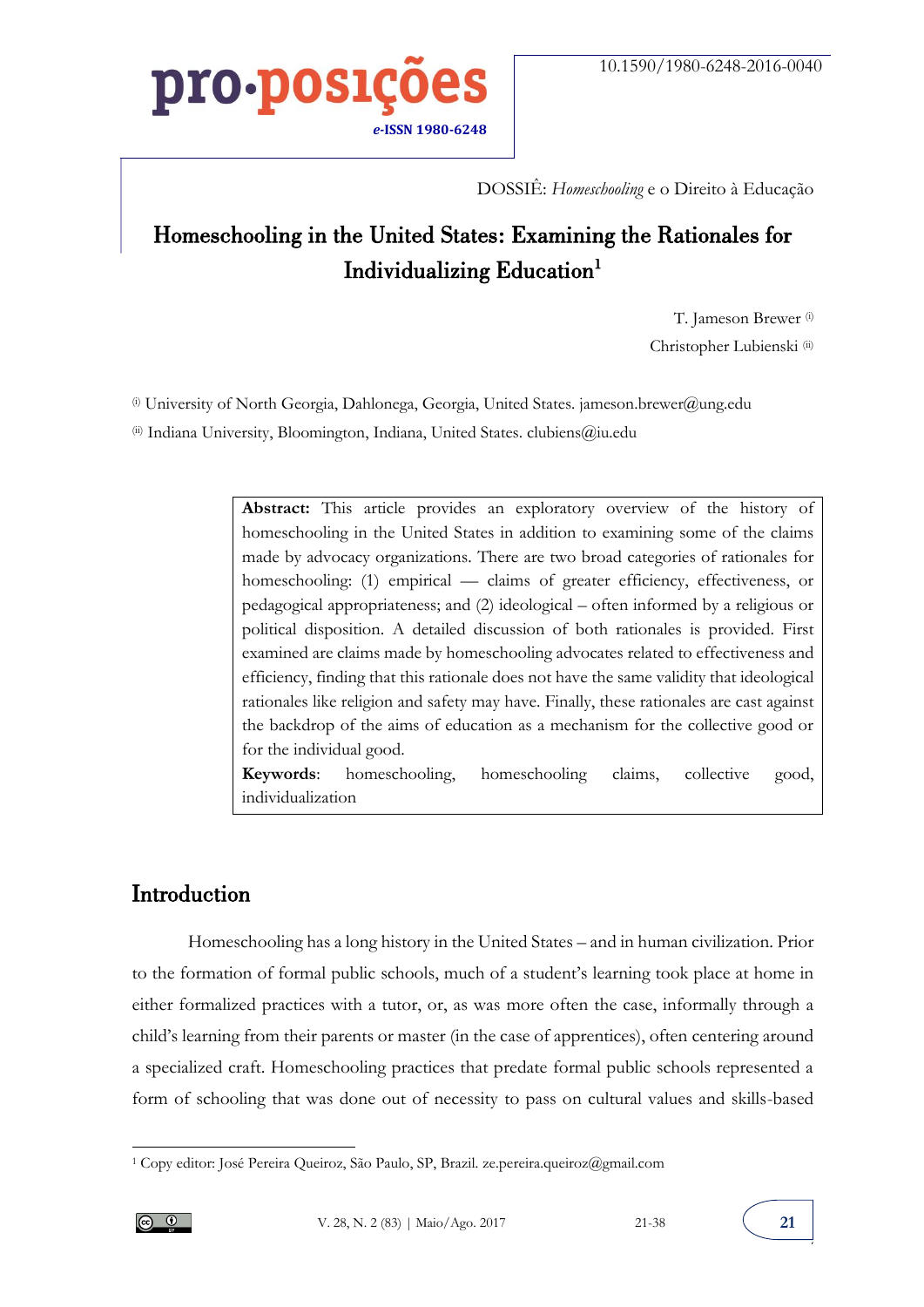

DOSSIÊ: *Homeschooling* e o Direito à Educação

### Homeschooling in the United States: Examining the Rationales for Individualizing Education<sup>1</sup>

T. Jameson Brewer (i) Christopher Lubienski (ii)

(i) University of North Georgia, Dahlonega, Georgia, United States. jameson.brewer@ung.edu

(ii) Indiana University, Bloomington, Indiana, United States. clubiens@iu.edu

**Abstract:** This article provides an exploratory overview of the history of homeschooling in the United States in addition to examining some of the claims made by advocacy organizations. There are two broad categories of rationales for homeschooling: (1) empirical — claims of greater efficiency, effectiveness, or pedagogical appropriateness; and (2) ideological – often informed by a religious or political disposition. A detailed discussion of both rationales is provided. First examined are claims made by homeschooling advocates related to effectiveness and efficiency, finding that this rationale does not have the same validity that ideological rationales like religion and safety may have. Finally, these rationales are cast against the backdrop of the aims of education as a mechanism for the collective good or for the individual good. **Keywords**: homeschooling, homeschooling claims, collective good,

individualization

#### Introduction

Homeschooling has a long history in the United States – and in human civilization. Prior to the formation of formal public schools, much of a student's learning took place at home in either formalized practices with a tutor, or, as was more often the case, informally through a child's learning from their parents or master (in the case of apprentices), often centering around a specialized craft. Homeschooling practices that predate formal public schools represented a form of schooling that was done out of necessity to pass on cultural values and skills-based

 $\overline{a}$ 

<sup>1</sup> Copy editor: José Pereira Queiroz, São Paulo, SP, Brazil. ze.pereira.queiroz@gmail.com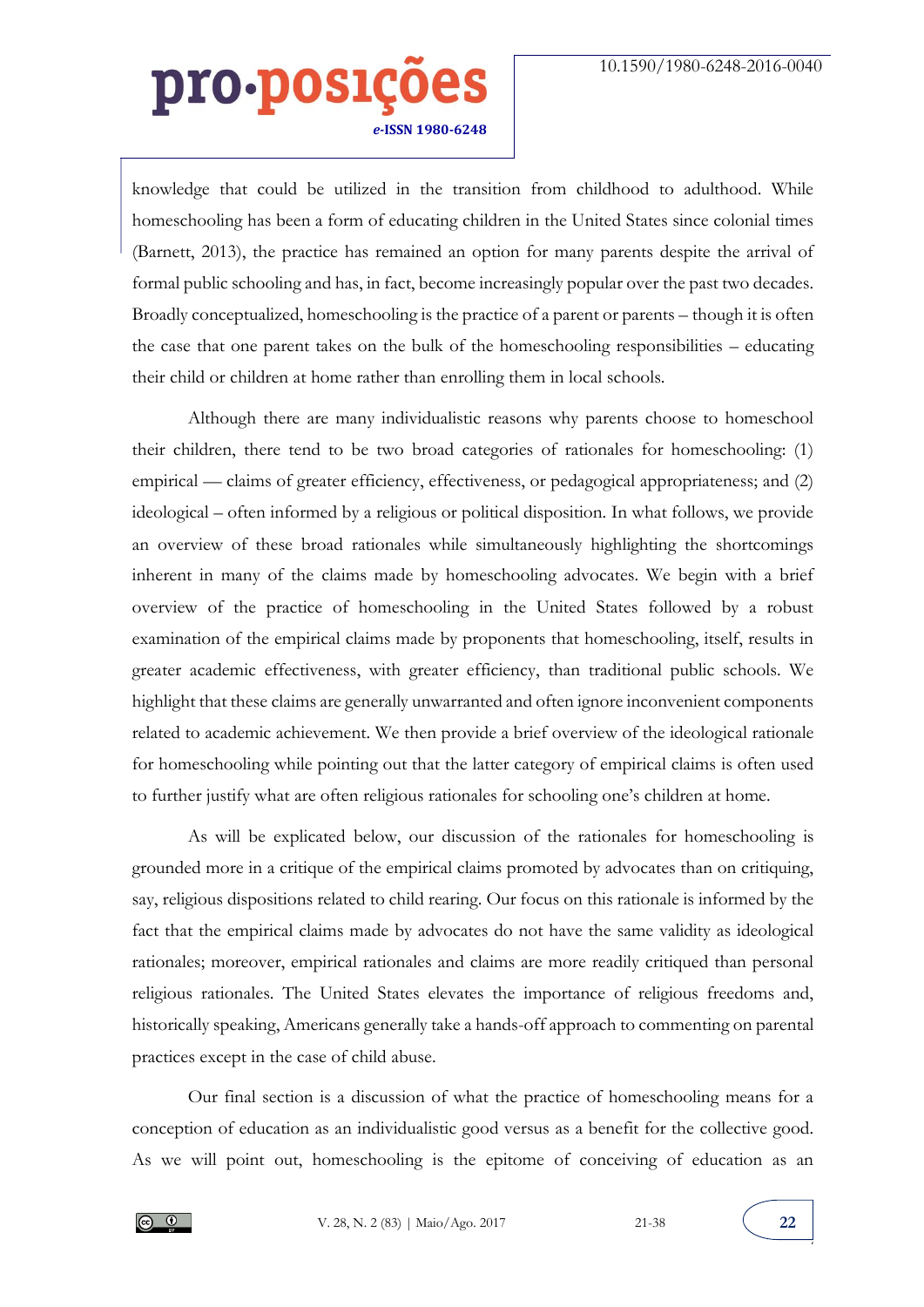knowledge that could be utilized in the transition from childhood to adulthood. While homeschooling has been a form of educating children in the United States since colonial times (Barnett, 2013), the practice has remained an option for many parents despite the arrival of formal public schooling and has, in fact, become increasingly popular over the past two decades. Broadly conceptualized, homeschooling is the practice of a parent or parents – though it is often the case that one parent takes on the bulk of the homeschooling responsibilities – educating their child or children at home rather than enrolling them in local schools.

Although there are many individualistic reasons why parents choose to homeschool their children, there tend to be two broad categories of rationales for homeschooling: (1) empirical — claims of greater efficiency, effectiveness, or pedagogical appropriateness; and (2) ideological – often informed by a religious or political disposition. In what follows, we provide an overview of these broad rationales while simultaneously highlighting the shortcomings inherent in many of the claims made by homeschooling advocates. We begin with a brief overview of the practice of homeschooling in the United States followed by a robust examination of the empirical claims made by proponents that homeschooling, itself, results in greater academic effectiveness, with greater efficiency, than traditional public schools. We highlight that these claims are generally unwarranted and often ignore inconvenient components related to academic achievement. We then provide a brief overview of the ideological rationale for homeschooling while pointing out that the latter category of empirical claims is often used to further justify what are often religious rationales for schooling one's children at home.

As will be explicated below, our discussion of the rationales for homeschooling is grounded more in a critique of the empirical claims promoted by advocates than on critiquing, say, religious dispositions related to child rearing. Our focus on this rationale is informed by the fact that the empirical claims made by advocates do not have the same validity as ideological rationales; moreover, empirical rationales and claims are more readily critiqued than personal religious rationales. The United States elevates the importance of religious freedoms and, historically speaking, Americans generally take a hands-off approach to commenting on parental practices except in the case of child abuse.

Our final section is a discussion of what the practice of homeschooling means for a conception of education as an individualistic good versus as a benefit for the collective good. As we will point out, homeschooling is the epitome of conceiving of education as an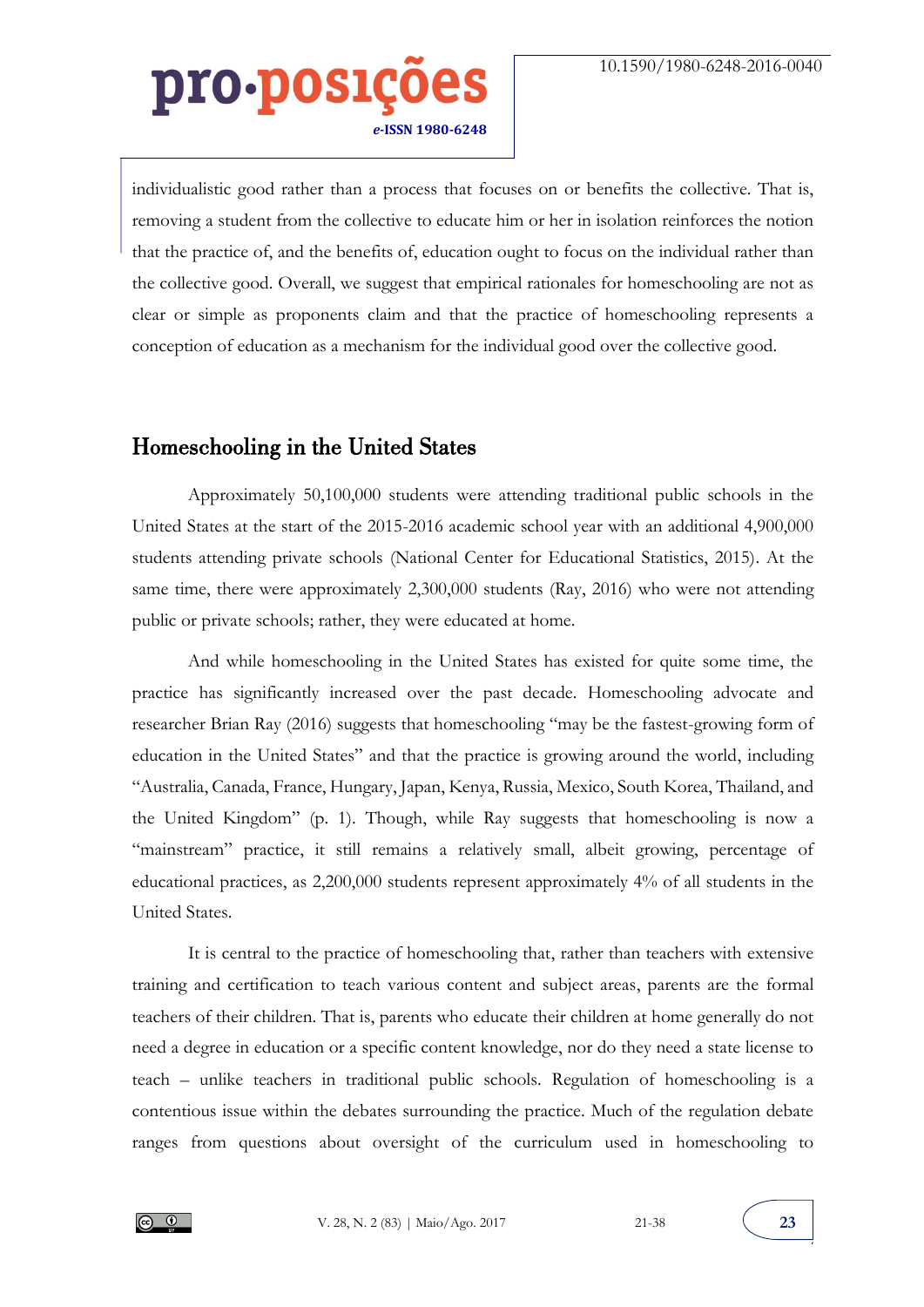individualistic good rather than a process that focuses on or benefits the collective. That is, removing a student from the collective to educate him or her in isolation reinforces the notion that the practice of, and the benefits of, education ought to focus on the individual rather than the collective good. Overall, we suggest that empirical rationales for homeschooling are not as clear or simple as proponents claim and that the practice of homeschooling represents a conception of education as a mechanism for the individual good over the collective good.

#### Homeschooling in the United States

Approximately 50,100,000 students were attending traditional public schools in the United States at the start of the 2015-2016 academic school year with an additional 4,900,000 students attending private schools (National Center for Educational Statistics, 2015). At the same time, there were approximately 2,300,000 students (Ray, 2016) who were not attending public or private schools; rather, they were educated at home.

And while homeschooling in the United States has existed for quite some time, the practice has significantly increased over the past decade. Homeschooling advocate and researcher Brian Ray (2016) suggests that homeschooling "may be the fastest-growing form of education in the United States" and that the practice is growing around the world, including "Australia, Canada, France, Hungary, Japan, Kenya, Russia, Mexico, South Korea, Thailand, and the United Kingdom" (p. 1). Though, while Ray suggests that homeschooling is now a "mainstream" practice, it still remains a relatively small, albeit growing, percentage of educational practices, as 2,200,000 students represent approximately 4% of all students in the United States.

It is central to the practice of homeschooling that, rather than teachers with extensive training and certification to teach various content and subject areas, parents are the formal teachers of their children. That is, parents who educate their children at home generally do not need a degree in education or a specific content knowledge, nor do they need a state license to teach – unlike teachers in traditional public schools. Regulation of homeschooling is a contentious issue within the debates surrounding the practice. Much of the regulation debate ranges from questions about oversight of the curriculum used in homeschooling to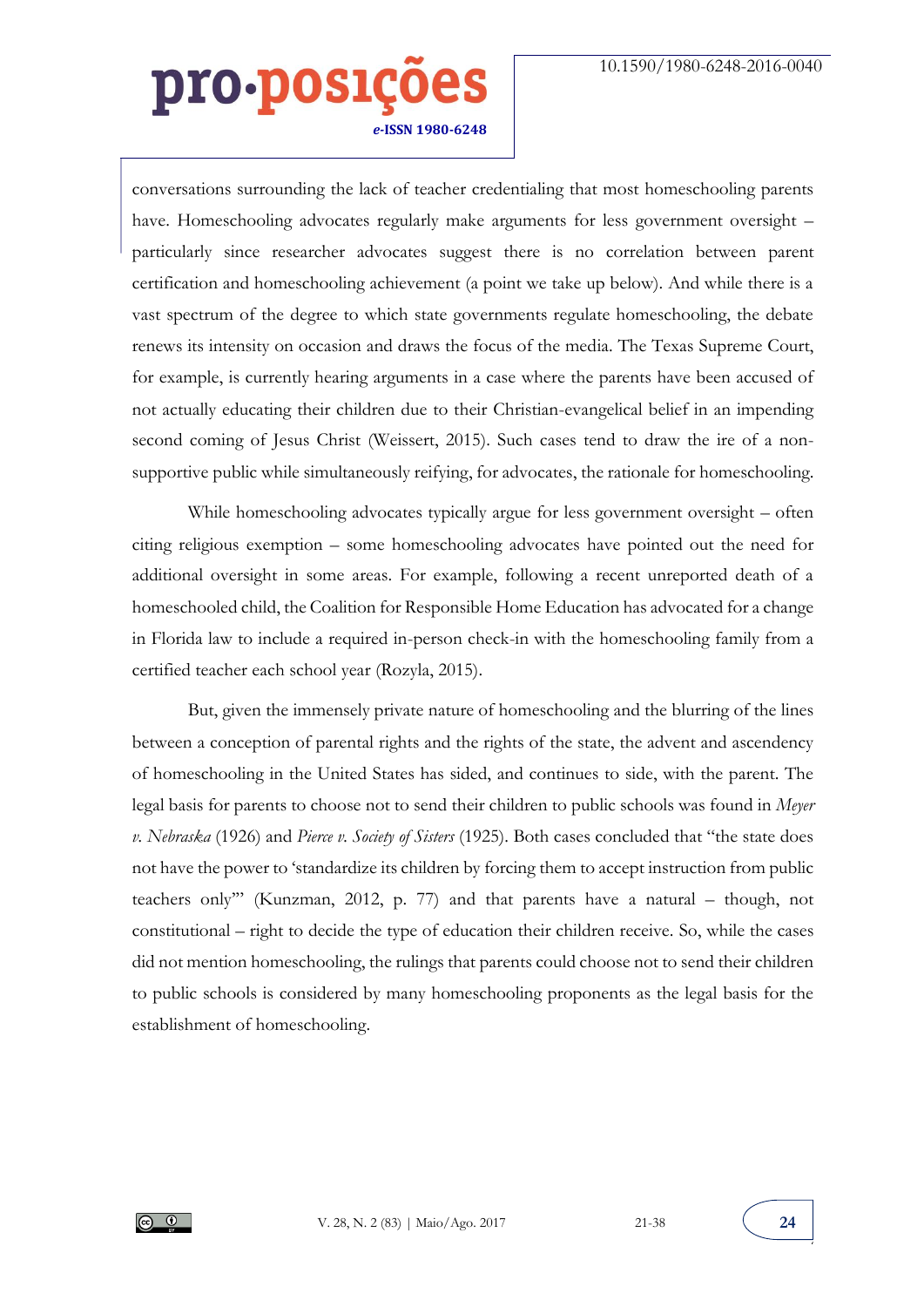conversations surrounding the lack of teacher credentialing that most homeschooling parents have. Homeschooling advocates regularly make arguments for less government oversight – particularly since researcher advocates suggest there is no correlation between parent certification and homeschooling achievement (a point we take up below). And while there is a vast spectrum of the degree to which state governments regulate homeschooling, the debate renews its intensity on occasion and draws the focus of the media. The Texas Supreme Court, for example, is currently hearing arguments in a case where the parents have been accused of not actually educating their children due to their Christian-evangelical belief in an impending second coming of Jesus Christ (Weissert, 2015). Such cases tend to draw the ire of a nonsupportive public while simultaneously reifying, for advocates, the rationale for homeschooling.

While homeschooling advocates typically argue for less government oversight – often citing religious exemption – some homeschooling advocates have pointed out the need for additional oversight in some areas. For example, following a recent unreported death of a homeschooled child, the Coalition for Responsible Home Education has advocated for a change in Florida law to include a required in-person check-in with the homeschooling family from a certified teacher each school year (Rozyla, 2015).

But, given the immensely private nature of homeschooling and the blurring of the lines between a conception of parental rights and the rights of the state, the advent and ascendency of homeschooling in the United States has sided, and continues to side, with the parent. The legal basis for parents to choose not to send their children to public schools was found in *Meyer v. Nebraska* (1926) and *Pierce v. Society of Sisters* (1925). Both cases concluded that "the state does not have the power to 'standardize its children by forcing them to accept instruction from public teachers only'" (Kunzman, 2012, p. 77) and that parents have a natural – though, not constitutional – right to decide the type of education their children receive. So, while the cases did not mention homeschooling, the rulings that parents could choose not to send their children to public schools is considered by many homeschooling proponents as the legal basis for the establishment of homeschooling.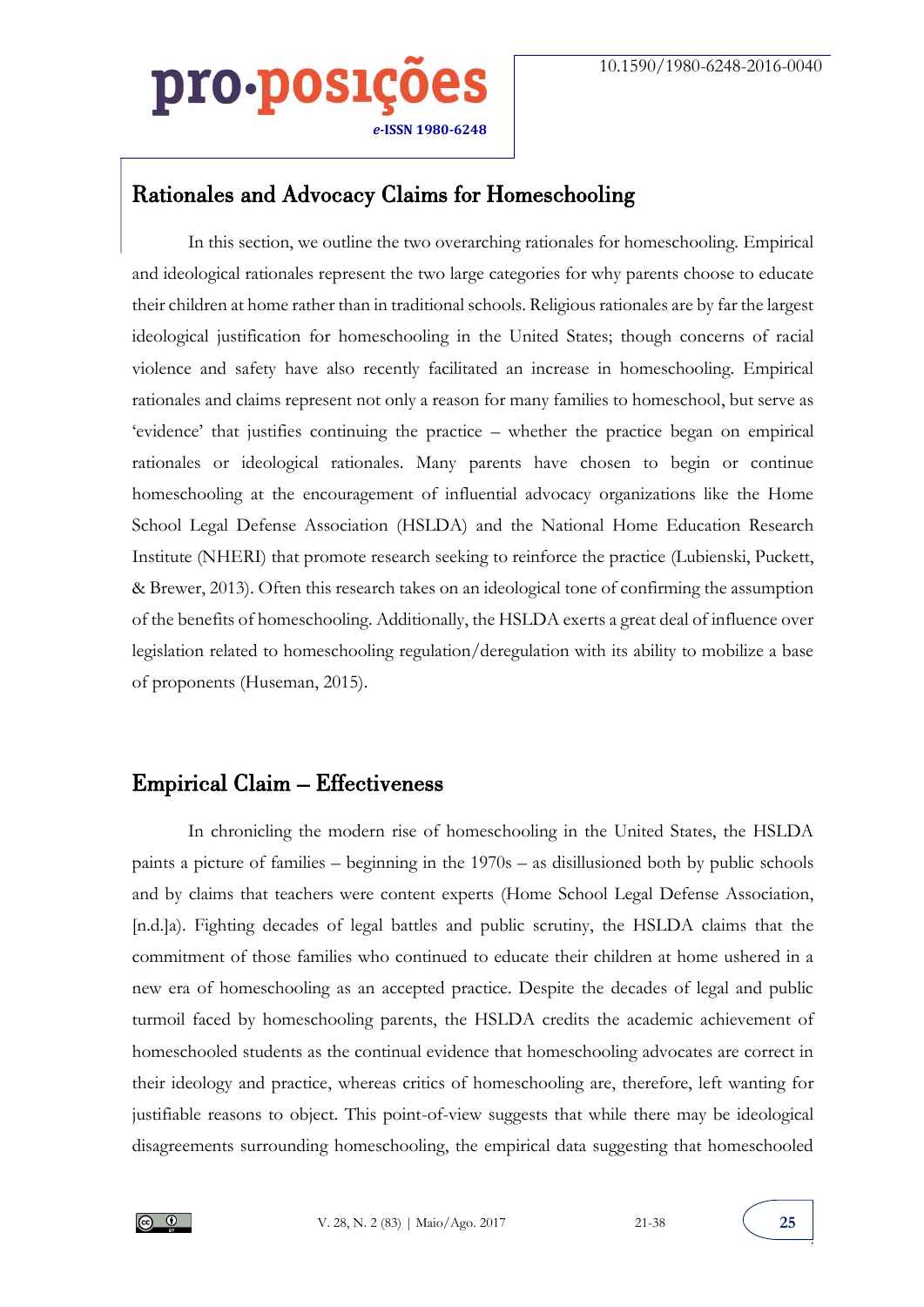#### Rationales and Advocacy Claims for Homeschooling

In this section, we outline the two overarching rationales for homeschooling. Empirical and ideological rationales represent the two large categories for why parents choose to educate their children at home rather than in traditional schools. Religious rationales are by far the largest ideological justification for homeschooling in the United States; though concerns of racial violence and safety have also recently facilitated an increase in homeschooling. Empirical rationales and claims represent not only a reason for many families to homeschool, but serve as 'evidence' that justifies continuing the practice – whether the practice began on empirical rationales or ideological rationales. Many parents have chosen to begin or continue homeschooling at the encouragement of influential advocacy organizations like the Home School Legal Defense Association (HSLDA) and the National Home Education Research Institute (NHERI) that promote research seeking to reinforce the practice (Lubienski, Puckett, & Brewer, 2013). Often this research takes on an ideological tone of confirming the assumption of the benefits of homeschooling. Additionally, the HSLDA exerts a great deal of influence over legislation related to homeschooling regulation/deregulation with its ability to mobilize a base of proponents (Huseman, 2015).

#### Empirical Claim – Effectiveness

In chronicling the modern rise of homeschooling in the United States, the HSLDA paints a picture of families – beginning in the 1970s – as disillusioned both by public schools and by claims that teachers were content experts (Home School Legal Defense Association, [n.d.]a). Fighting decades of legal battles and public scrutiny, the HSLDA claims that the commitment of those families who continued to educate their children at home ushered in a new era of homeschooling as an accepted practice. Despite the decades of legal and public turmoil faced by homeschooling parents, the HSLDA credits the academic achievement of homeschooled students as the continual evidence that homeschooling advocates are correct in their ideology and practice, whereas critics of homeschooling are, therefore, left wanting for justifiable reasons to object. This point-of-view suggests that while there may be ideological disagreements surrounding homeschooling, the empirical data suggesting that homeschooled

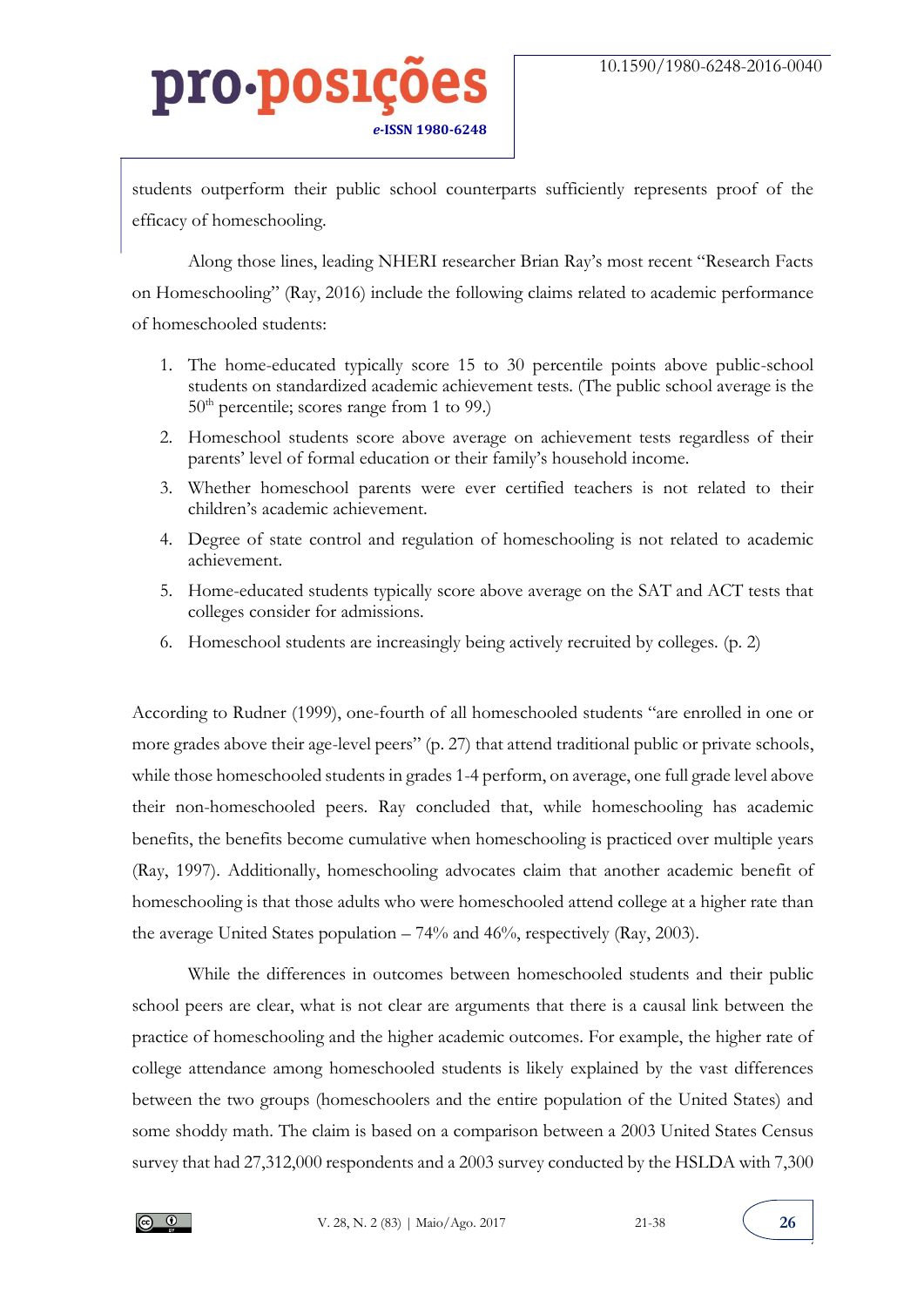students outperform their public school counterparts sufficiently represents proof of the efficacy of homeschooling.

Along those lines, leading NHERI researcher Brian Ray's most recent "Research Facts on Homeschooling" (Ray, 2016) include the following claims related to academic performance of homeschooled students:

- 1. The home-educated typically score 15 to 30 percentile points above public-school students on standardized academic achievement tests. (The public school average is the  $50<sup>th</sup>$  percentile; scores range from 1 to 99.)
- 2. Homeschool students score above average on achievement tests regardless of their parents' level of formal education or their family's household income.
- 3. Whether homeschool parents were ever certified teachers is not related to their children's academic achievement.
- 4. Degree of state control and regulation of homeschooling is not related to academic achievement.
- 5. Home-educated students typically score above average on the SAT and ACT tests that colleges consider for admissions.
- 6. Homeschool students are increasingly being actively recruited by colleges. (p. 2)

According to Rudner (1999), one-fourth of all homeschooled students "are enrolled in one or more grades above their age-level peers" (p. 27) that attend traditional public or private schools, while those homeschooled students in grades 1-4 perform, on average, one full grade level above their non-homeschooled peers. Ray concluded that, while homeschooling has academic benefits, the benefits become cumulative when homeschooling is practiced over multiple years (Ray, 1997). Additionally, homeschooling advocates claim that another academic benefit of homeschooling is that those adults who were homeschooled attend college at a higher rate than the average United States population – 74% and 46%, respectively (Ray, 2003).

While the differences in outcomes between homeschooled students and their public school peers are clear, what is not clear are arguments that there is a causal link between the practice of homeschooling and the higher academic outcomes. For example, the higher rate of college attendance among homeschooled students is likely explained by the vast differences between the two groups (homeschoolers and the entire population of the United States) and some shoddy math. The claim is based on a comparison between a 2003 United States Census survey that had 27,312,000 respondents and a 2003 survey conducted by the HSLDA with 7,300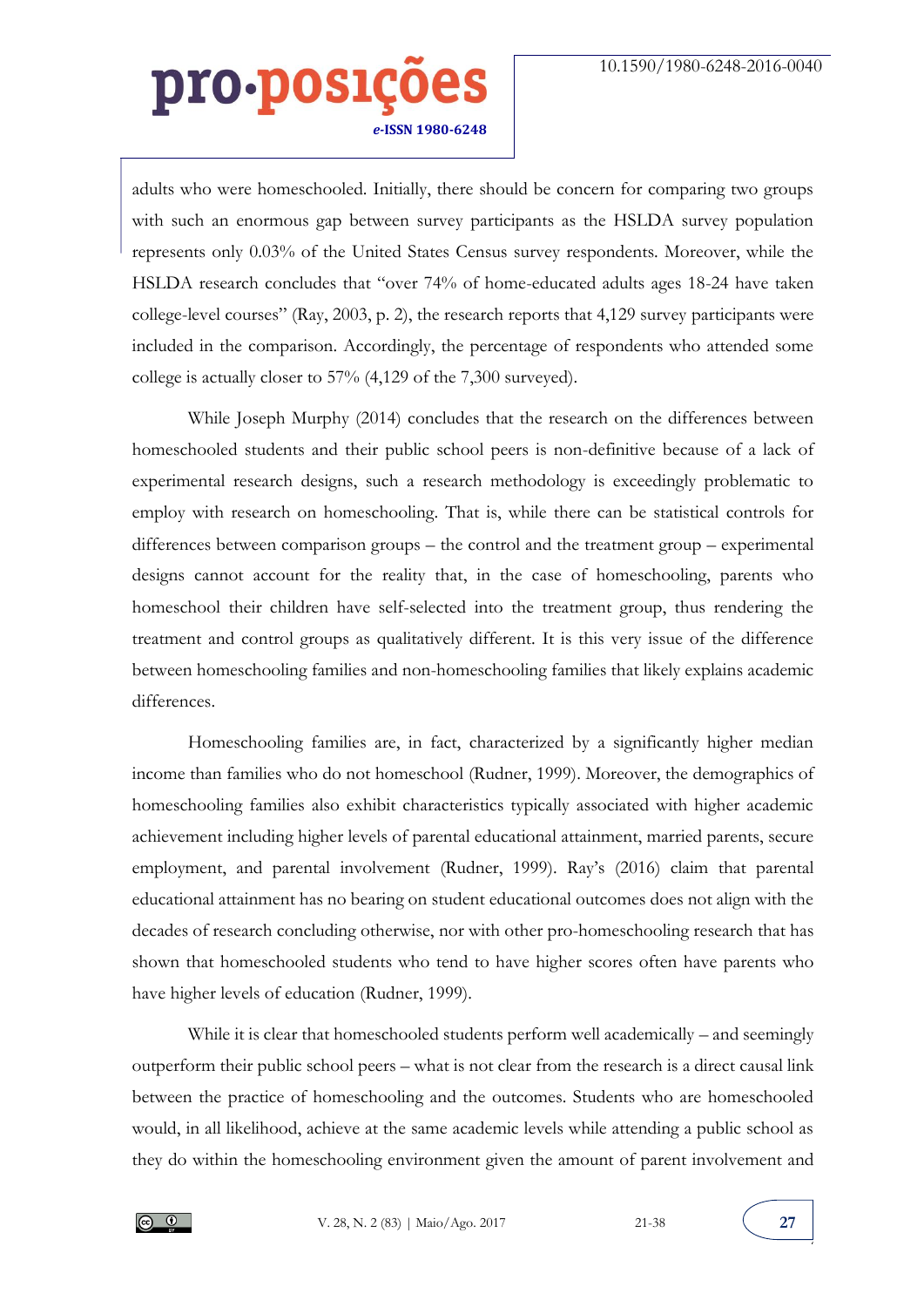adults who were homeschooled. Initially, there should be concern for comparing two groups with such an enormous gap between survey participants as the HSLDA survey population represents only 0.03% of the United States Census survey respondents. Moreover, while the HSLDA research concludes that "over 74% of home-educated adults ages 18-24 have taken college-level courses" (Ray, 2003, p. 2), the research reports that 4,129 survey participants were included in the comparison. Accordingly, the percentage of respondents who attended some college is actually closer to 57% (4,129 of the 7,300 surveyed).

While Joseph Murphy (2014) concludes that the research on the differences between homeschooled students and their public school peers is non-definitive because of a lack of experimental research designs, such a research methodology is exceedingly problematic to employ with research on homeschooling. That is, while there can be statistical controls for differences between comparison groups – the control and the treatment group – experimental designs cannot account for the reality that, in the case of homeschooling, parents who homeschool their children have self-selected into the treatment group, thus rendering the treatment and control groups as qualitatively different. It is this very issue of the difference between homeschooling families and non-homeschooling families that likely explains academic differences.

Homeschooling families are, in fact, characterized by a significantly higher median income than families who do not homeschool (Rudner, 1999). Moreover, the demographics of homeschooling families also exhibit characteristics typically associated with higher academic achievement including higher levels of parental educational attainment, married parents, secure employment, and parental involvement (Rudner, 1999). Ray's (2016) claim that parental educational attainment has no bearing on student educational outcomes does not align with the decades of research concluding otherwise, nor with other pro-homeschooling research that has shown that homeschooled students who tend to have higher scores often have parents who have higher levels of education (Rudner, 1999).

While it is clear that homeschooled students perform well academically – and seemingly outperform their public school peers – what is not clear from the research is a direct causal link between the practice of homeschooling and the outcomes. Students who are homeschooled would, in all likelihood, achieve at the same academic levels while attending a public school as they do within the homeschooling environment given the amount of parent involvement and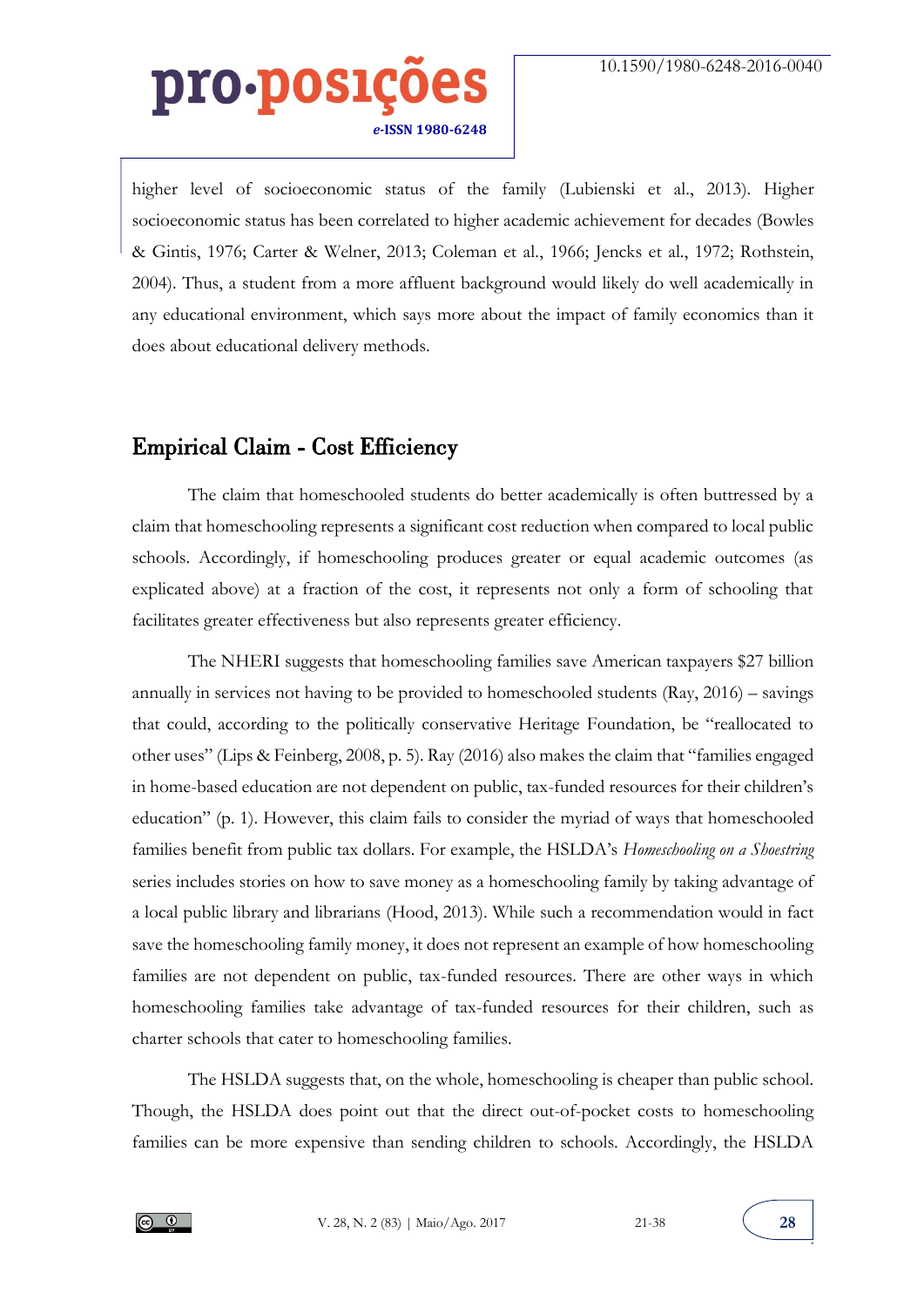higher level of socioeconomic status of the family (Lubienski et al., 2013). Higher socioeconomic status has been correlated to higher academic achievement for decades (Bowles & Gintis, 1976; Carter & Welner, 2013; Coleman et al., 1966; Jencks et al., 1972; Rothstein, 2004). Thus, a student from a more affluent background would likely do well academically in any educational environment, which says more about the impact of family economics than it does about educational delivery methods.

#### Empirical Claim - Cost Efficiency

The claim that homeschooled students do better academically is often buttressed by a claim that homeschooling represents a significant cost reduction when compared to local public schools. Accordingly, if homeschooling produces greater or equal academic outcomes (as explicated above) at a fraction of the cost, it represents not only a form of schooling that facilitates greater effectiveness but also represents greater efficiency.

The NHERI suggests that homeschooling families save American taxpayers \$27 billion annually in services not having to be provided to homeschooled students (Ray, 2016) – savings that could, according to the politically conservative Heritage Foundation, be "reallocated to other uses" (Lips & Feinberg, 2008, p. 5). Ray (2016) also makes the claim that "families engaged in home-based education are not dependent on public, tax-funded resources for their children's education" (p. 1). However, this claim fails to consider the myriad of ways that homeschooled families benefit from public tax dollars. For example, the HSLDA's *Homeschooling on a Shoestring* series includes stories on how to save money as a homeschooling family by taking advantage of a local public library and librarians (Hood, 2013). While such a recommendation would in fact save the homeschooling family money, it does not represent an example of how homeschooling families are not dependent on public, tax-funded resources. There are other ways in which homeschooling families take advantage of tax-funded resources for their children, such as charter schools that cater to homeschooling families.

The HSLDA suggests that, on the whole, homeschooling is cheaper than public school. Though, the HSLDA does point out that the direct out-of-pocket costs to homeschooling families can be more expensive than sending children to schools. Accordingly, the HSLDA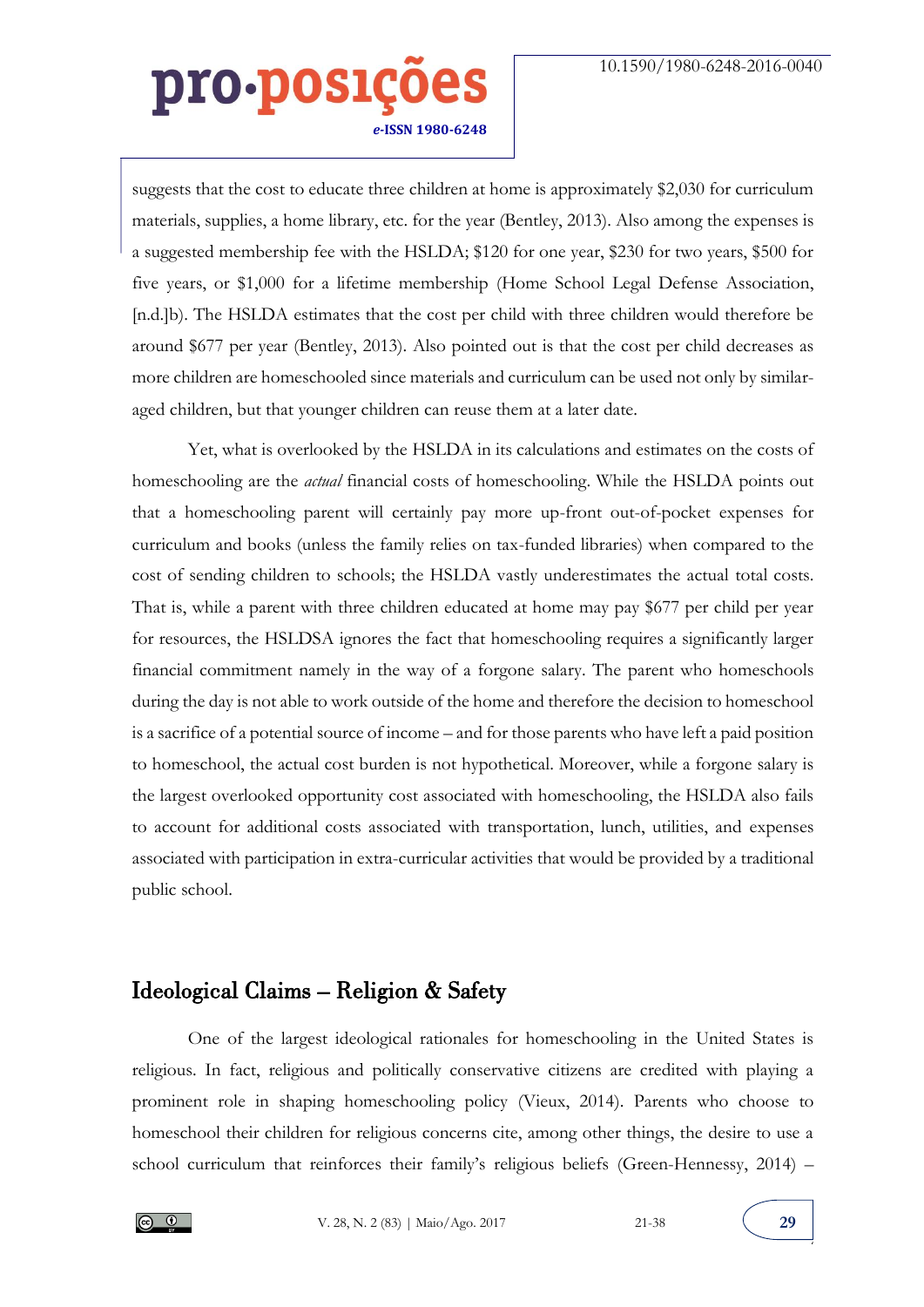suggests that the cost to educate three children at home is approximately \$2,030 for curriculum materials, supplies, a home library, etc. for the year (Bentley, 2013). Also among the expenses is a suggested membership fee with the HSLDA; \$120 for one year, \$230 for two years, \$500 for five years, or \$1,000 for a lifetime membership (Home School Legal Defense Association, [n.d.]b). The HSLDA estimates that the cost per child with three children would therefore be around \$677 per year (Bentley, 2013). Also pointed out is that the cost per child decreases as more children are homeschooled since materials and curriculum can be used not only by similaraged children, but that younger children can reuse them at a later date.

Yet, what is overlooked by the HSLDA in its calculations and estimates on the costs of homeschooling are the *actual* financial costs of homeschooling. While the HSLDA points out that a homeschooling parent will certainly pay more up-front out-of-pocket expenses for curriculum and books (unless the family relies on tax-funded libraries) when compared to the cost of sending children to schools; the HSLDA vastly underestimates the actual total costs. That is, while a parent with three children educated at home may pay \$677 per child per year for resources, the HSLDSA ignores the fact that homeschooling requires a significantly larger financial commitment namely in the way of a forgone salary. The parent who homeschools during the day is not able to work outside of the home and therefore the decision to homeschool is a sacrifice of a potential source of income – and for those parents who have left a paid position to homeschool, the actual cost burden is not hypothetical. Moreover, while a forgone salary is the largest overlooked opportunity cost associated with homeschooling, the HSLDA also fails to account for additional costs associated with transportation, lunch, utilities, and expenses associated with participation in extra-curricular activities that would be provided by a traditional public school.

#### Ideological Claims – Religion & Safety

One of the largest ideological rationales for homeschooling in the United States is religious. In fact, religious and politically conservative citizens are credited with playing a prominent role in shaping homeschooling policy (Vieux, 2014). Parents who choose to homeschool their children for religious concerns cite, among other things, the desire to use a school curriculum that reinforces their family's religious beliefs (Green-Hennessy, 2014) –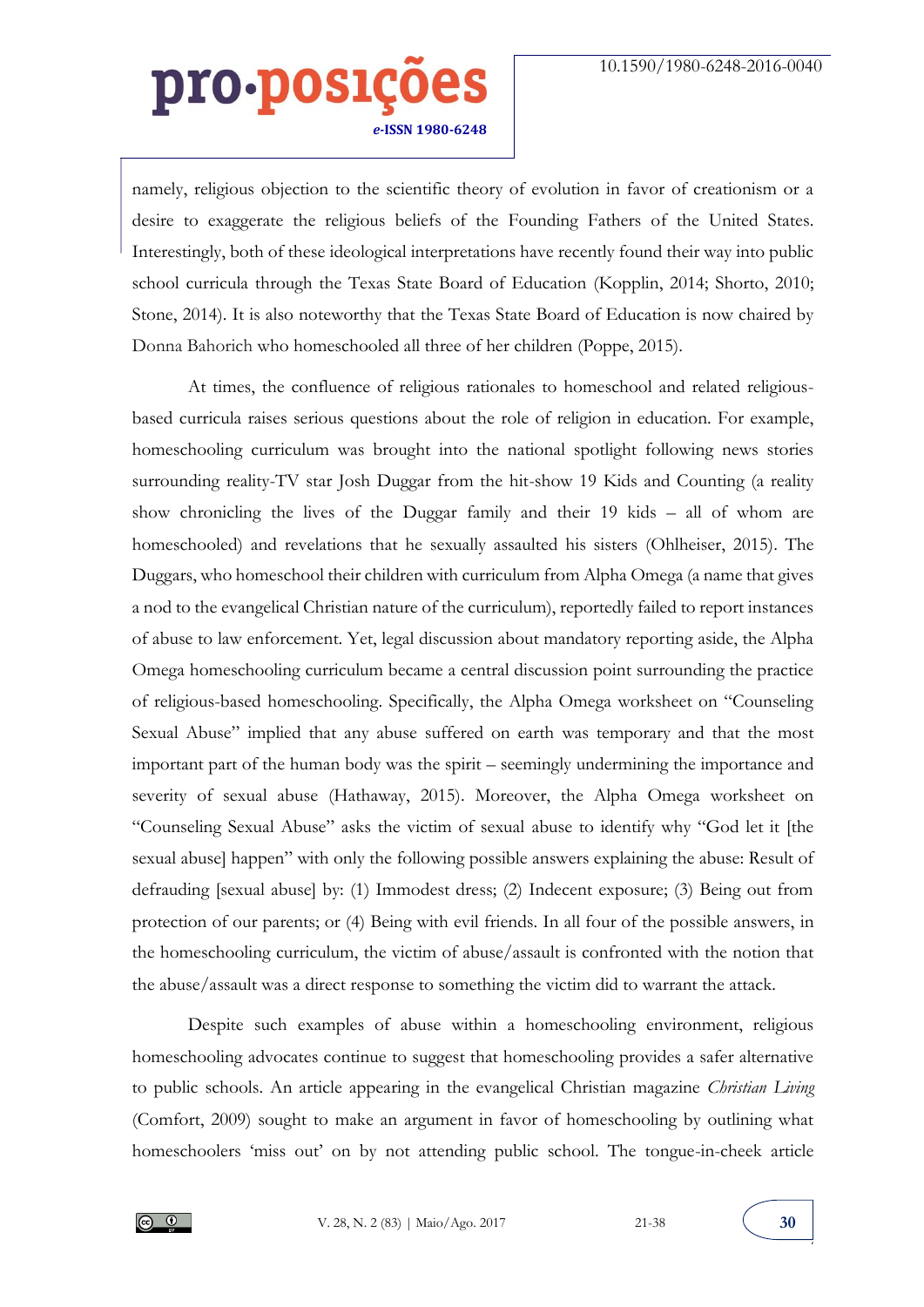namely, religious objection to the scientific theory of evolution in favor of creationism or a desire to exaggerate the religious beliefs of the Founding Fathers of the United States. Interestingly, both of these ideological interpretations have recently found their way into public school curricula through the Texas State Board of Education (Kopplin, 2014; Shorto, 2010; Stone, 2014). It is also noteworthy that the Texas State Board of Education is now chaired by Donna Bahorich who homeschooled all three of her children (Poppe, 2015).

At times, the confluence of religious rationales to homeschool and related religiousbased curricula raises serious questions about the role of religion in education. For example, homeschooling curriculum was brought into the national spotlight following news stories surrounding reality-TV star Josh Duggar from the hit-show 19 Kids and Counting (a reality show chronicling the lives of the Duggar family and their 19 kids – all of whom are homeschooled) and revelations that he sexually assaulted his sisters (Ohlheiser, 2015). The Duggars, who homeschool their children with curriculum from Alpha Omega (a name that gives a nod to the evangelical Christian nature of the curriculum), reportedly failed to report instances of abuse to law enforcement. Yet, legal discussion about mandatory reporting aside, the Alpha Omega homeschooling curriculum became a central discussion point surrounding the practice of religious-based homeschooling. Specifically, the Alpha Omega worksheet on "Counseling Sexual Abuse" implied that any abuse suffered on earth was temporary and that the most important part of the human body was the spirit – seemingly undermining the importance and severity of sexual abuse (Hathaway, 2015). Moreover, the Alpha Omega worksheet on "Counseling Sexual Abuse" asks the victim of sexual abuse to identify why "God let it [the sexual abuse] happen" with only the following possible answers explaining the abuse: Result of defrauding [sexual abuse] by: (1) Immodest dress; (2) Indecent exposure; (3) Being out from protection of our parents; or (4) Being with evil friends. In all four of the possible answers, in the homeschooling curriculum, the victim of abuse/assault is confronted with the notion that the abuse/assault was a direct response to something the victim did to warrant the attack.

Despite such examples of abuse within a homeschooling environment, religious homeschooling advocates continue to suggest that homeschooling provides a safer alternative to public schools. An article appearing in the evangelical Christian magazine *Christian Living* (Comfort, 2009) sought to make an argument in favor of homeschooling by outlining what homeschoolers 'miss out' on by not attending public school. The tongue-in-cheek article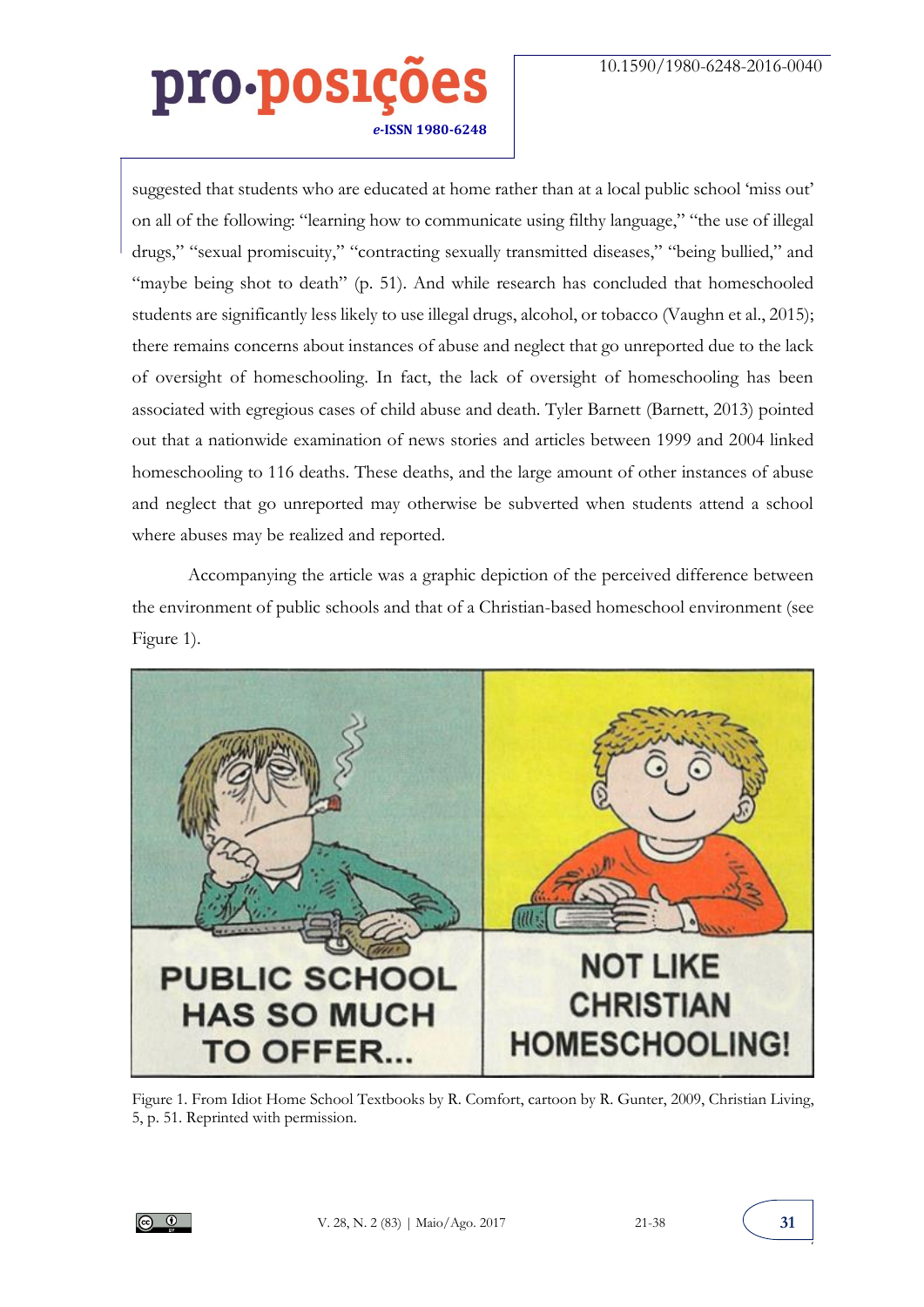suggested that students who are educated at home rather than at a local public school 'miss out' on all of the following: "learning how to communicate using filthy language," "the use of illegal drugs," "sexual promiscuity," "contracting sexually transmitted diseases," "being bullied," and "maybe being shot to death" (p. 51). And while research has concluded that homeschooled students are significantly less likely to use illegal drugs, alcohol, or tobacco (Vaughn et al., 2015); there remains concerns about instances of abuse and neglect that go unreported due to the lack of oversight of homeschooling. In fact, the lack of oversight of homeschooling has been associated with egregious cases of child abuse and death. Tyler Barnett (Barnett, 2013) pointed out that a nationwide examination of news stories and articles between 1999 and 2004 linked homeschooling to 116 deaths. These deaths, and the large amount of other instances of abuse and neglect that go unreported may otherwise be subverted when students attend a school where abuses may be realized and reported.

Accompanying the article was a graphic depiction of the perceived difference between the environment of public schools and that of a Christian-based homeschool environment (see Figure 1).



Figure 1. From Idiot Home School Textbooks by R. Comfort, cartoon by R. Gunter, 2009, Christian Living, 5, p. 51. Reprinted with permission.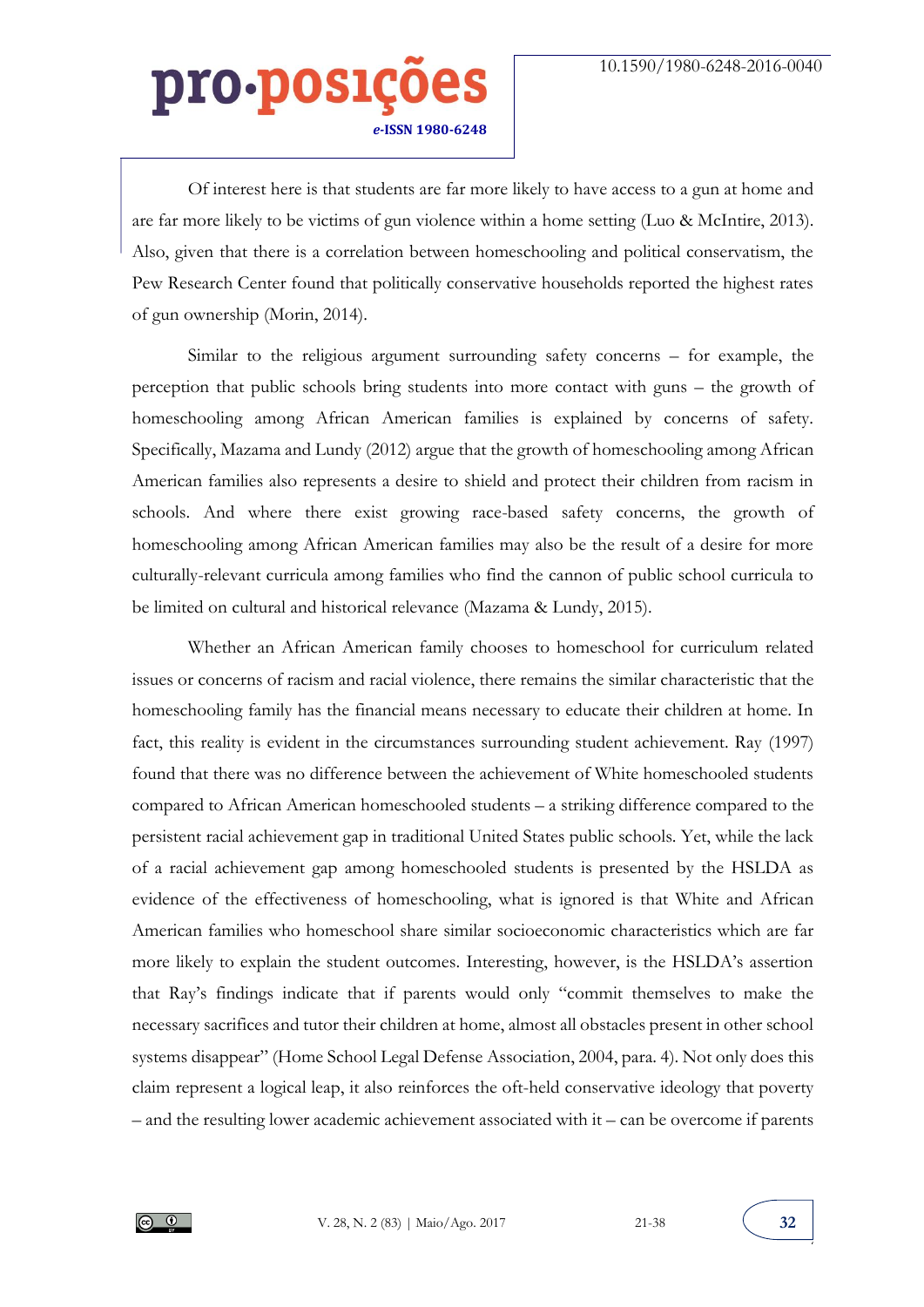Of interest here is that students are far more likely to have access to a gun at home and are far more likely to be victims of gun violence within a home setting (Luo & McIntire, 2013). Also, given that there is a correlation between homeschooling and political conservatism, the Pew Research Center found that politically conservative households reported the highest rates of gun ownership (Morin, 2014).

Similar to the religious argument surrounding safety concerns – for example, the perception that public schools bring students into more contact with guns – the growth of homeschooling among African American families is explained by concerns of safety. Specifically, Mazama and Lundy (2012) argue that the growth of homeschooling among African American families also represents a desire to shield and protect their children from racism in schools. And where there exist growing race-based safety concerns, the growth of homeschooling among African American families may also be the result of a desire for more culturally-relevant curricula among families who find the cannon of public school curricula to be limited on cultural and historical relevance (Mazama & Lundy, 2015).

Whether an African American family chooses to homeschool for curriculum related issues or concerns of racism and racial violence, there remains the similar characteristic that the homeschooling family has the financial means necessary to educate their children at home. In fact, this reality is evident in the circumstances surrounding student achievement. Ray (1997) found that there was no difference between the achievement of White homeschooled students compared to African American homeschooled students – a striking difference compared to the persistent racial achievement gap in traditional United States public schools. Yet, while the lack of a racial achievement gap among homeschooled students is presented by the HSLDA as evidence of the effectiveness of homeschooling, what is ignored is that White and African American families who homeschool share similar socioeconomic characteristics which are far more likely to explain the student outcomes. Interesting, however, is the HSLDA's assertion that Ray's findings indicate that if parents would only "commit themselves to make the necessary sacrifices and tutor their children at home, almost all obstacles present in other school systems disappear" (Home School Legal Defense Association, 2004, para. 4). Not only does this claim represent a logical leap, it also reinforces the oft-held conservative ideology that poverty – and the resulting lower academic achievement associated with it – can be overcome if parents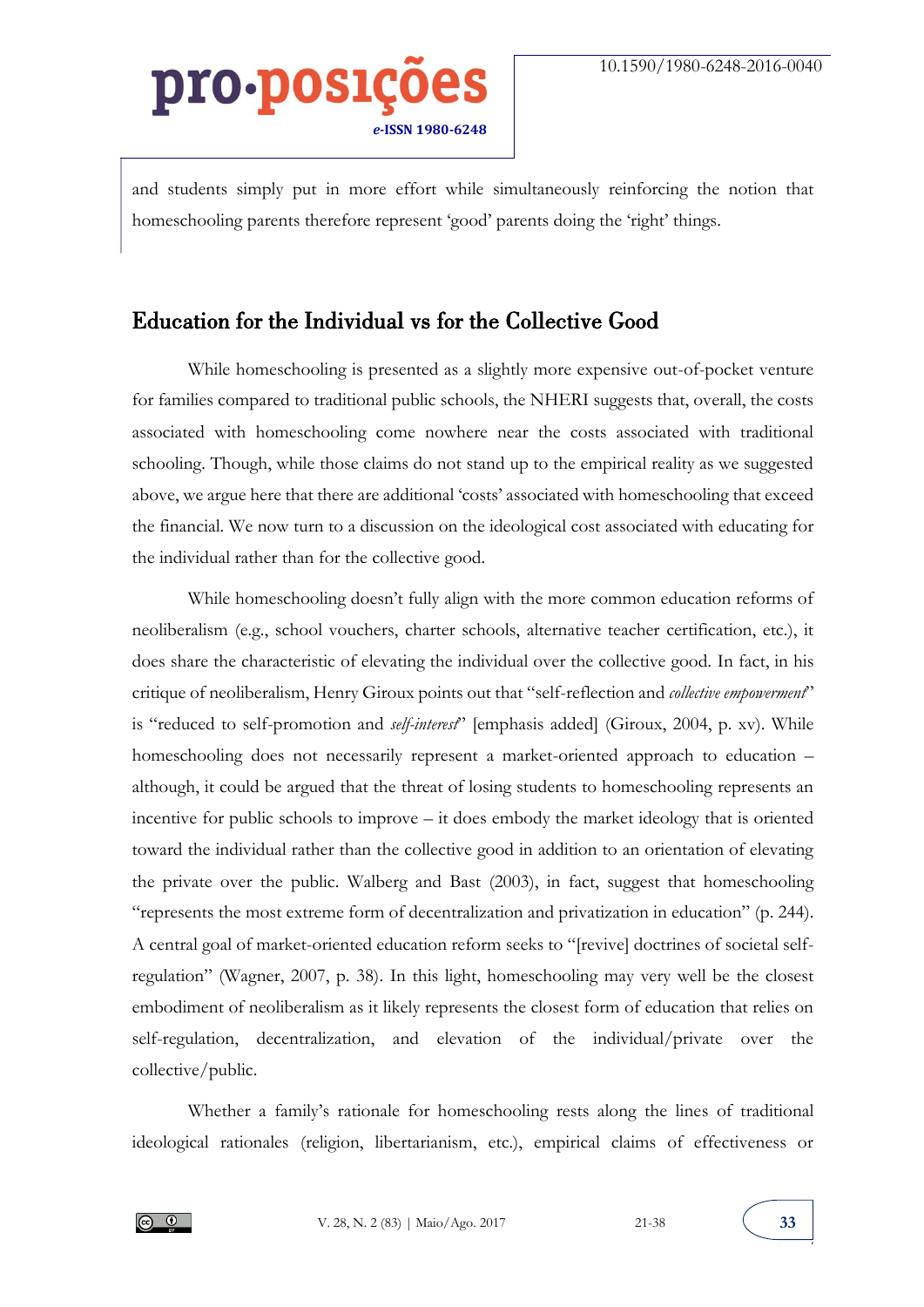and students simply put in more effort while simultaneously reinforcing the notion that homeschooling parents therefore represent 'good' parents doing the 'right' things.

#### Education for the Individual vs for the Collective Good

While homeschooling is presented as a slightly more expensive out-of-pocket venture for families compared to traditional public schools, the NHERI suggests that, overall, the costs associated with homeschooling come nowhere near the costs associated with traditional schooling. Though, while those claims do not stand up to the empirical reality as we suggested above, we argue here that there are additional 'costs' associated with homeschooling that exceed the financial. We now turn to a discussion on the ideological cost associated with educating for the individual rather than for the collective good.

While homeschooling doesn't fully align with the more common education reforms of neoliberalism (e.g., school vouchers, charter schools, alternative teacher certification, etc.), it does share the characteristic of elevating the individual over the collective good. In fact, in his critique of neoliberalism, Henry Giroux points out that "self-reflection and *collective empowerment*" is "reduced to self-promotion and *self-interest*" [emphasis added] (Giroux, 2004, p. xv). While homeschooling does not necessarily represent a market-oriented approach to education – although, it could be argued that the threat of losing students to homeschooling represents an incentive for public schools to improve – it does embody the market ideology that is oriented toward the individual rather than the collective good in addition to an orientation of elevating the private over the public. Walberg and Bast (2003), in fact, suggest that homeschooling "represents the most extreme form of decentralization and privatization in education" (p. 244). A central goal of market-oriented education reform seeks to "[revive] doctrines of societal selfregulation" (Wagner, 2007, p. 38). In this light, homeschooling may very well be the closest embodiment of neoliberalism as it likely represents the closest form of education that relies on self-regulation, decentralization, and elevation of the individual/private over the collective/public.

Whether a family's rationale for homeschooling rests along the lines of traditional ideological rationales (religion, libertarianism, etc.), empirical claims of effectiveness or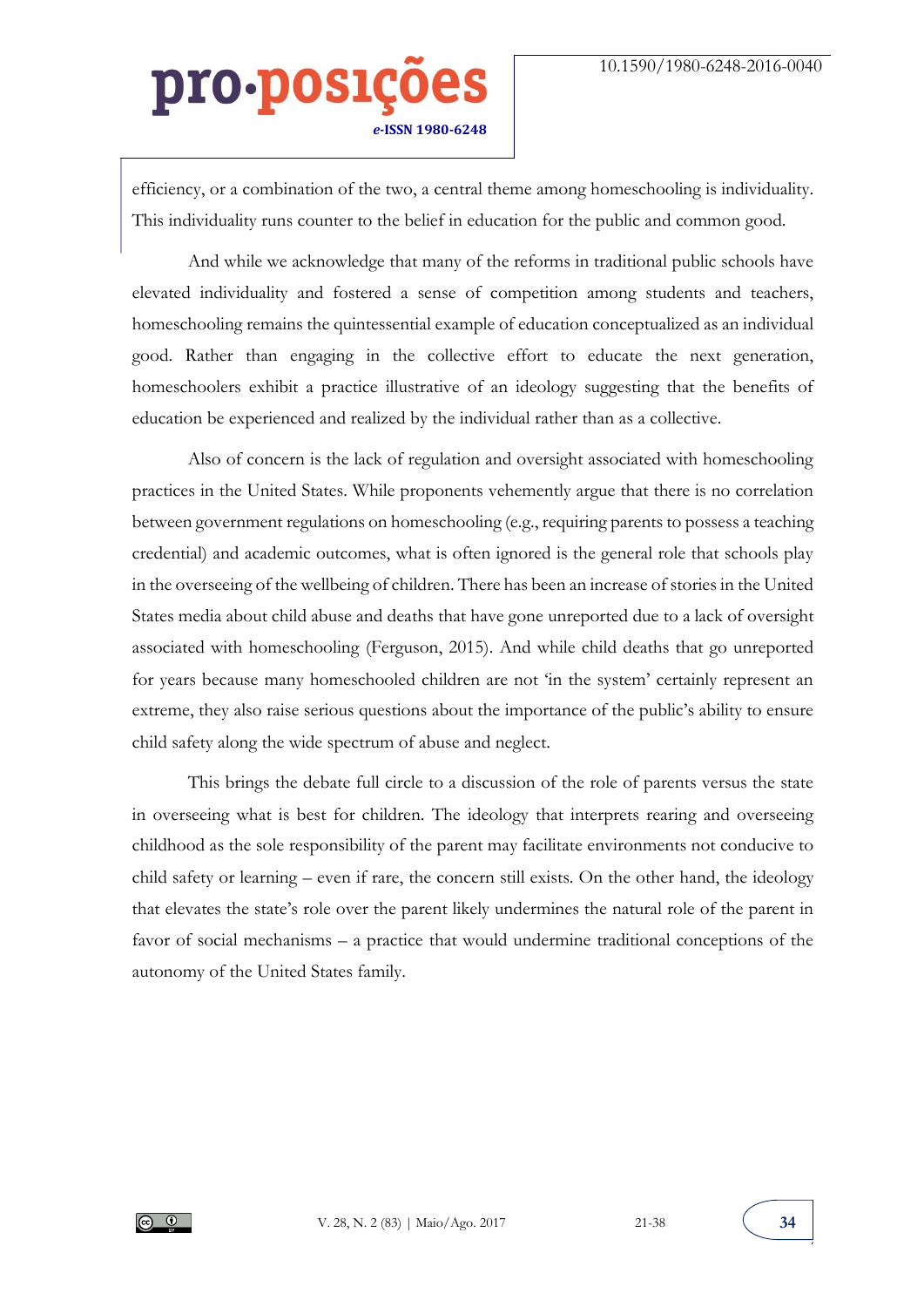efficiency, or a combination of the two, a central theme among homeschooling is individuality. This individuality runs counter to the belief in education for the public and common good.

And while we acknowledge that many of the reforms in traditional public schools have elevated individuality and fostered a sense of competition among students and teachers, homeschooling remains the quintessential example of education conceptualized as an individual good. Rather than engaging in the collective effort to educate the next generation, homeschoolers exhibit a practice illustrative of an ideology suggesting that the benefits of education be experienced and realized by the individual rather than as a collective.

Also of concern is the lack of regulation and oversight associated with homeschooling practices in the United States. While proponents vehemently argue that there is no correlation between government regulations on homeschooling (e.g., requiring parents to possess a teaching credential) and academic outcomes, what is often ignored is the general role that schools play in the overseeing of the wellbeing of children. There has been an increase of stories in the United States media about child abuse and deaths that have gone unreported due to a lack of oversight associated with homeschooling (Ferguson, 2015). And while child deaths that go unreported for years because many homeschooled children are not 'in the system' certainly represent an extreme, they also raise serious questions about the importance of the public's ability to ensure child safety along the wide spectrum of abuse and neglect.

This brings the debate full circle to a discussion of the role of parents versus the state in overseeing what is best for children. The ideology that interprets rearing and overseeing childhood as the sole responsibility of the parent may facilitate environments not conducive to child safety or learning – even if rare, the concern still exists. On the other hand, the ideology that elevates the state's role over the parent likely undermines the natural role of the parent in favor of social mechanisms – a practice that would undermine traditional conceptions of the autonomy of the United States family.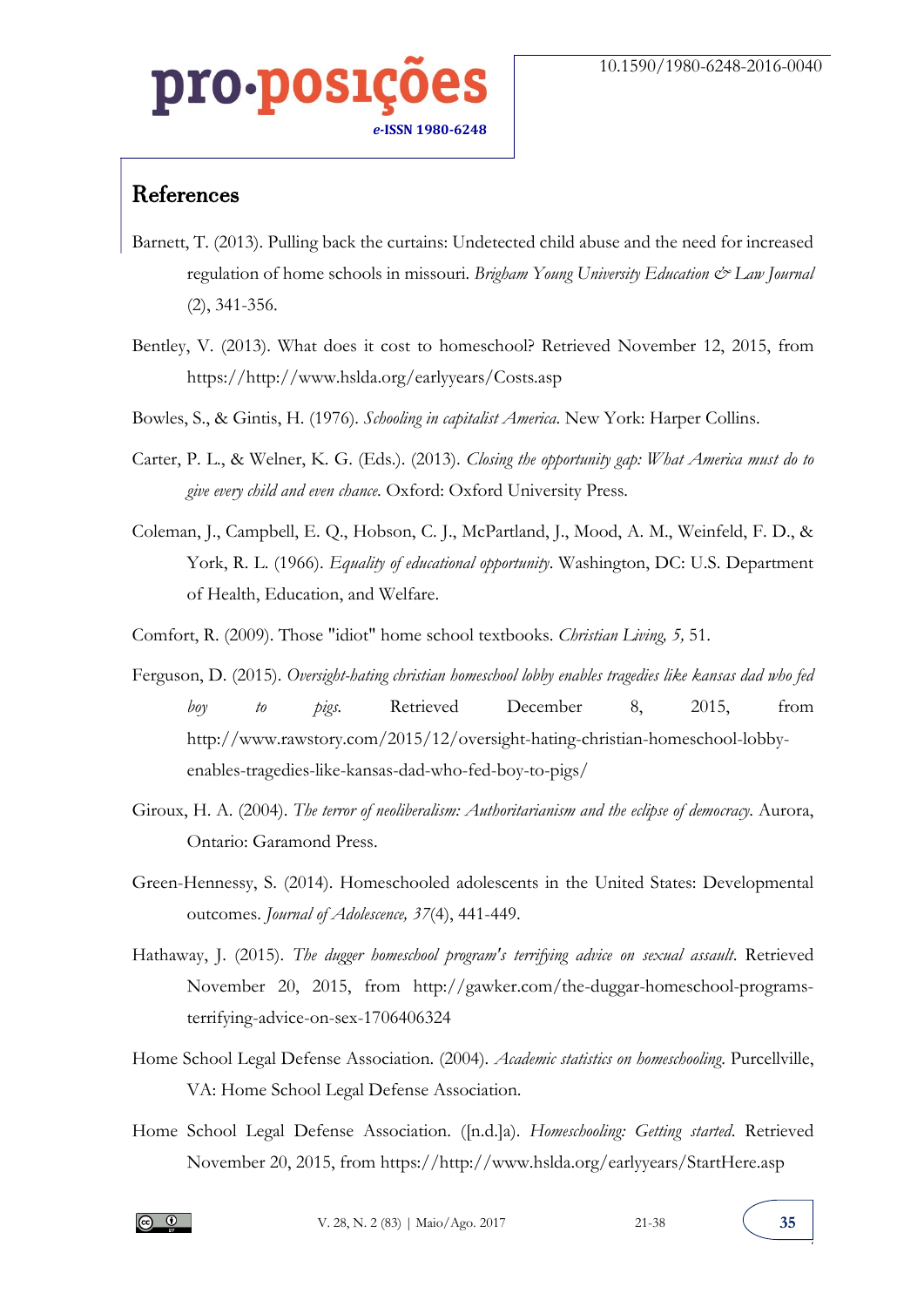#### References

- Barnett, T. (2013). Pulling back the curtains: Undetected child abuse and the need for increased regulation of home schools in missouri. *Brigham Young University Education & Law Journal* (2), 341-356.
- Bentley, V. (2013). What does it cost to homeschool? Retrieved November 12, 2015, from https://http://www.hslda.org/earlyyears/Costs.asp
- Bowles, S., & Gintis, H. (1976). *Schooling in capitalist America*. New York: Harper Collins.
- Carter, P. L., & Welner, K. G. (Eds.). (2013). *Closing the opportunity gap: What America must do to give every child and even chance*. Oxford: Oxford University Press.
- Coleman, J., Campbell, E. Q., Hobson, C. J., McPartland, J., Mood, A. M., Weinfeld, F. D., & York, R. L. (1966). *Equality of educational opportunity*. Washington, DC: U.S. Department of Health, Education, and Welfare.
- Comfort, R. (2009). Those "idiot" home school textbooks. *Christian Living, 5,* 51.
- Ferguson, D. (2015). *Oversight-hating christian homeschool lobby enables tragedies like kansas dad who fed boy to pigs.* Retrieved December 8, 2015, from http://www.rawstory.com/2015/12/oversight-hating-christian-homeschool-lobbyenables-tragedies-like-kansas-dad-who-fed-boy-to-pigs/
- Giroux, H. A. (2004). *The terror of neoliberalism: Authoritarianism and the eclipse of democracy*. Aurora, Ontario: Garamond Press.
- Green-Hennessy, S. (2014). Homeschooled adolescents in the United States: Developmental outcomes. *Journal of Adolescence, 37*(4), 441-449.
- Hathaway, J. (2015). *The dugger homeschool program's terrifying advice on sexual assault*. Retrieved November 20, 2015, from http://gawker.com/the-duggar-homeschool-programsterrifying-advice-on-sex-1706406324
- Home School Legal Defense Association. (2004). *Academic statistics on homeschooling*. Purcellville, VA: Home School Legal Defense Association.
- Home School Legal Defense Association. ([n.d.]a). *Homeschooling: Getting started*. Retrieved November 20, 2015, from https://http://www.hslda.org/earlyyears/StartHere.asp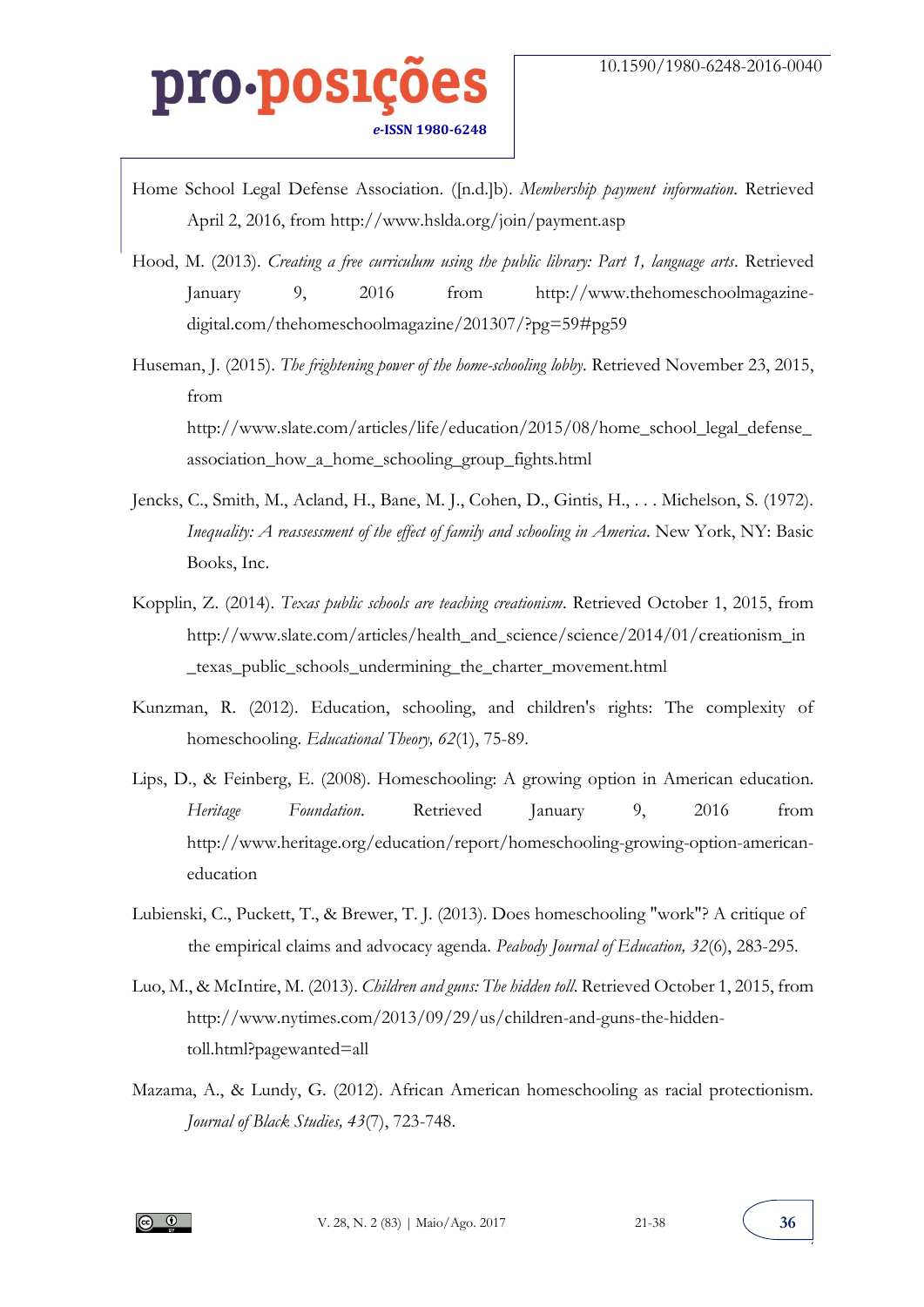Home School Legal Defense Association. ([n.d.]b). *Membership payment information*. Retrieved April 2, 2016, from http://www.hslda.org/join/payment.asp

- Hood, M. (2013). *Creating a free curriculum using the public library: Part 1, language arts*. Retrieved January 9, 2016 from http://www.thehomeschoolmagazinedigital.com/thehomeschoolmagazine/201307/?pg=59#pg59
- Huseman, J. (2015). *The frightening power of the home-schooling lobby*. Retrieved November 23, 2015, from http://www.slate.com/articles/life/education/2015/08/home\_school\_legal\_defense\_ association how a home schooling group fights.html
- Jencks, C., Smith, M., Acland, H., Bane, M. J., Cohen, D., Gintis, H., . . . Michelson, S. (1972). *Inequality: A reassessment of the effect of family and schooling in America*. New York, NY: Basic Books, Inc.
- Kopplin, Z. (2014). *Texas public schools are teaching creationism*. Retrieved October 1, 2015, from http://www.slate.com/articles/health\_and\_science/science/2014/01/creationism\_in \_texas\_public\_schools\_undermining\_the\_charter\_movement.html
- Kunzman, R. (2012). Education, schooling, and children's rights: The complexity of homeschooling. *Educational Theory, 62*(1), 75-89.
- Lips, D., & Feinberg, E. (2008). Homeschooling: A growing option in American education. *Heritage Foundation*. Retrieved January 9, 2016 from http://www.heritage.org/education/report/homeschooling-growing-option-americaneducation
- Lubienski, C., Puckett, T., & Brewer, T. J. (2013). Does homeschooling "work"? A critique of the empirical claims and advocacy agenda. *Peabody Journal of Education, 32*(6), 283-295.
- Luo, M., & McIntire, M. (2013). *Children and guns: The hidden toll*. Retrieved October 1, 2015, from http://www.nytimes.com/2013/09/29/us/children-and-guns-the-hiddentoll.html?pagewanted=all
- Mazama, A., & Lundy, G. (2012). African American homeschooling as racial protectionism. *Journal of Black Studies, 43*(7), 723-748.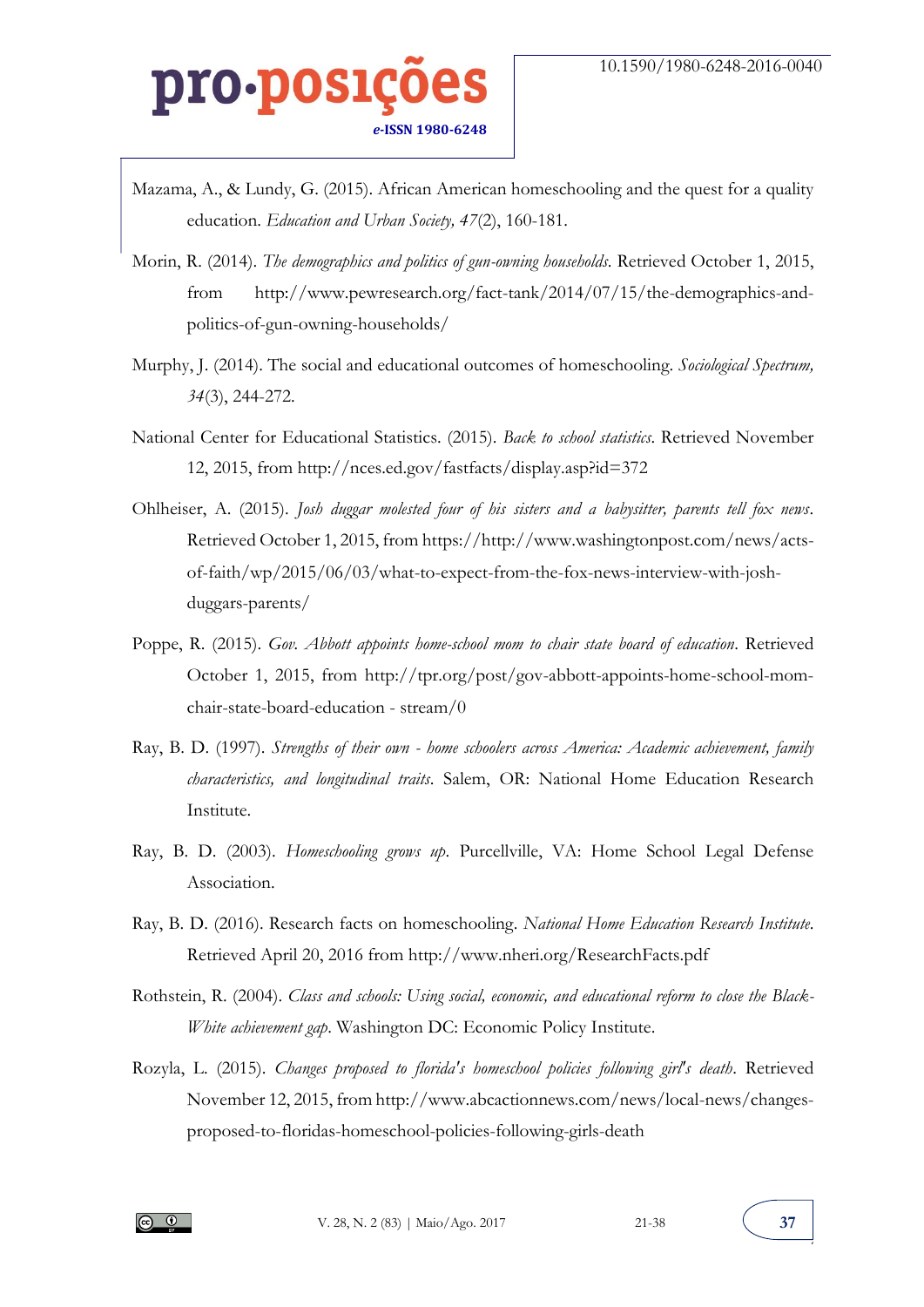- Mazama, A., & Lundy, G. (2015). African American homeschooling and the quest for a quality education. *Education and Urban Society, 47*(2), 160-181.
- Morin, R. (2014). *The demographics and politics of gun-owning households*. Retrieved October 1, 2015, from http://www.pewresearch.org/fact-tank/2014/07/15/the-demographics-andpolitics-of-gun-owning-households/
- Murphy, J. (2014). The social and educational outcomes of homeschooling. *Sociological Spectrum, 34*(3), 244-272.
- National Center for Educational Statistics. (2015). *Back to school statistics*. Retrieved November 12, 2015, from http://nces.ed.gov/fastfacts/display.asp?id=372
- Ohlheiser, A. (2015). *Josh duggar molested four of his sisters and a babysitter, parents tell fox news*. Retrieved October 1, 2015, from https://http://www.washingtonpost.com/news/actsof-faith/wp/2015/06/03/what-to-expect-from-the-fox-news-interview-with-joshduggars-parents/
- Poppe, R. (2015). *Gov. Abbott appoints home-school mom to chair state board of education*. Retrieved October 1, 2015, from http://tpr.org/post/gov-abbott-appoints-home-school-momchair-state-board-education - stream/0
- Ray, B. D. (1997). *Strengths of their own - home schoolers across America: Academic achievement, family characteristics, and longitudinal traits*. Salem, OR: National Home Education Research Institute.
- Ray, B. D. (2003). *Homeschooling grows up*. Purcellville, VA: Home School Legal Defense Association.
- Ray, B. D. (2016). Research facts on homeschooling. *National Home Education Research Institute*. Retrieved April 20, 2016 from http://www.nheri.org/ResearchFacts.pdf
- Rothstein, R. (2004). *Class and schools: Using social, economic, and educational reform to close the Black-White achievement gap*. Washington DC: Economic Policy Institute.
- Rozyla, L. (2015). *Changes proposed to florida's homeschool policies following girl's death*. Retrieved November 12, 2015, from http://www.abcactionnews.com/news/local-news/changesproposed-to-floridas-homeschool-policies-following-girls-death